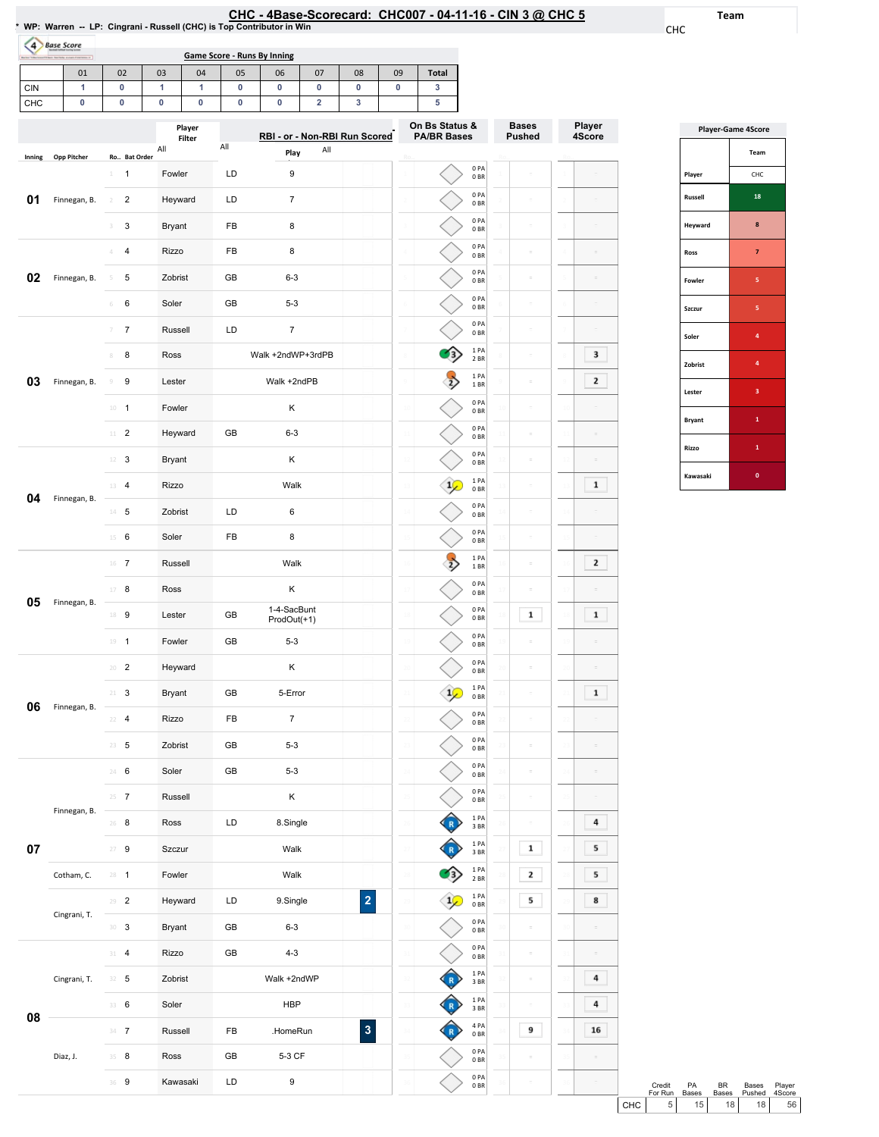# EHC - 4Base-Scorecard: CHC007 - 04-11-16 - CIN 3 @ CHC 5 \* wP: Warren -- LP: Cingrani - Russell (CHC) is Top Contributor in Win

Team

CHC

| W. Wallell - LF. Chigiani - Russell (CHC) is 100 Contributor in Will |  |  |  |  |  |
|----------------------------------------------------------------------|--|--|--|--|--|
| 4 Base Score                                                         |  |  |  |  |  |
|                                                                      |  |  |  |  |  |

| below "Albertown (11 best Startistic average distances of | _______ |    |    |        | <b>Game Score - Runs By Inning</b> |    |    |    |    |                |  |              |
|-----------------------------------------------------------|---------|----|----|--------|------------------------------------|----|----|----|----|----------------|--|--------------|
|                                                           | 01      | 02 | 03 | 04     | 05                                 | 06 | 07 | 08 | 09 | <b>Total</b>   |  |              |
| <b>CIN</b>                                                |         |    |    |        |                                    |    |    |    |    |                |  |              |
| CHC                                                       |         |    |    |        |                                    |    |    |    |    |                |  |              |
|                                                           |         |    |    |        |                                    |    |    |    |    |                |  |              |
|                                                           |         |    |    | Plaver |                                    |    |    |    |    | On Bs Status & |  | <b>Bases</b> |

|        |              |                                           | <br>Filter    | RBI - or - Non-RBI Run Scored             | <b>PA/BR Bases</b>                                            | <b>Pushed</b>  | 4Score       |  |
|--------|--------------|-------------------------------------------|---------------|-------------------------------------------|---------------------------------------------------------------|----------------|--------------|--|
| Inning | Opp Pitcher  | Ro Bat Order                              | All           | All<br>All<br>Play                        |                                                               |                |              |  |
|        |              | $\mathbf{1}$<br>1                         | Fowler        | LD<br>9                                   | 0PA<br>0 <sub>BR</sub>                                        | $\equiv$       |              |  |
| 01     | Finnegan, B. | $\overline{\mathbf{c}}$<br>$\overline{2}$ | Heyward       | LD<br>$\overline{7}$                      | 0PA<br>0 <sub>BR</sub>                                        | $\bar{z}$      |              |  |
|        |              | 3<br>3                                    | <b>Bryant</b> | FB<br>8                                   | 0PA<br>0 <sub>BR</sub>                                        | $\bar{z}$      |              |  |
|        |              | 4<br>4                                    | Rizzo         | 8<br>FB                                   | 0PA<br>0 <sub>BR</sub>                                        | $\bar{z}$      |              |  |
| 02     | Finnegan, B. | 5<br>5                                    | Zobrist       | GB<br>$6 - 3$                             | 0PA<br>0 <sub>BR</sub>                                        | $\equiv$       |              |  |
|        |              | 6<br>$\,$ 6                               | Soler         | GB<br>$5 - 3$                             | 0PA<br>0 <sub>BR</sub>                                        | $\equiv$       |              |  |
|        |              | $\overline{7}$<br>$\overline{7}$          | Russell       | $\overline{7}$<br>LD                      | 0PA<br>0 <sub>BR</sub>                                        | $\bar{z}$      |              |  |
|        |              | 8<br>8                                    | Ross          | Walk +2ndWP+3rdPB                         | 1PA<br>$2$ BR                                                 | $\equiv$       | 3            |  |
| 03     | Finnegan, B. | 9<br>$\,9$                                | Lester        | Walk +2ndPB                               | 1 PA<br>1 BR                                                  | $\bar{z}$      | 2            |  |
|        |              | $10 - 1$                                  | Fowler        | Κ                                         | 0PA<br>0 <sub>BR</sub>                                        |                |              |  |
|        |              | $11$ – $2$                                | Heyward       | GB<br>$6 - 3$                             | 0PA<br>0 <sub>BR</sub>                                        | ö              |              |  |
|        |              | 12<br>3                                   | <b>Bryant</b> | Κ                                         | 0PA<br>0 <sub>BR</sub>                                        |                |              |  |
| 04     | Finnegan, B. | $\overline{4}$<br>13                      | Rizzo         | Walk                                      | 1PA<br>0 <sub>BR</sub>                                        | ö              | $\mathbf 1$  |  |
|        |              | $14$ 5                                    | Zobrist       | LD<br>6                                   | 0PA<br>0 <sub>BR</sub>                                        | ÷              |              |  |
|        |              | $15 \t 6$                                 | Soler         | FB<br>8                                   | 0PA<br>0 <sub>BR</sub>                                        | $\overline{a}$ |              |  |
|        |              | $16$ 7                                    | Russell       | Walk                                      | 1PA<br>1 BR                                                   | ÷              | $\mathbf{z}$ |  |
| 05     | Finnegan, B. | 8<br>17                                   | Ross          | Κ                                         | 0PA<br>0 <sub>BR</sub>                                        | ÷              |              |  |
|        |              | 18 9                                      | Lester        | 1-4-SacBunt<br>GB<br>ProdOut(+1)          | 0PA<br>0 <sub>BR</sub>                                        | $\mathbf{1}$   | $\mathbf{1}$ |  |
|        |              | $19 - 1$                                  | Fowler        | GB<br>$5 - 3$                             | 0PA<br>0 <sub>BR</sub>                                        | ÷              |              |  |
|        |              | $\overline{2}$<br>20                      | Heyward       | Κ                                         | 0PA<br>0 <sub>BR</sub>                                        | ÷              |              |  |
| 06     | Finnegan, B. | 3<br>21                                   | <b>Bryant</b> | GB<br>5-Error                             | 1PA<br>0 <sub>BR</sub>                                        | ö              | $\mathbf 1$  |  |
|        |              | $\overline{4}$<br>22                      | Rizzo         | $\overline{7}$<br>FB                      | 0PA<br>0 <sub>BR</sub>                                        |                |              |  |
|        |              | $23 - 5$                                  | Zobrist       | GB<br>$5 - 3$                             | 0PA<br>0 <sub>BR</sub>                                        | ö              |              |  |
|        |              | 6<br>24                                   | Soler         | GB<br>$5 - 3$                             | 0PA<br>0 <sub>BR</sub>                                        |                |              |  |
|        | Finnegan, B. | $25 - 7$                                  | Russell       | Κ                                         | 0PA<br>0BR                                                    |                |              |  |
|        |              | $26$ 8                                    | Ross          | LD<br>8.Single                            | 1PA<br>3 BR                                                   | $\equiv$       | 4            |  |
| $07\,$ |              | $27 - 9$                                  | Szczur        | Walk                                      | 1PA<br>3BR                                                    | $\mathbf{1}$   | 5            |  |
|        | Cotham, C.   | $28 - 1$                                  | Fowler        | Walk                                      | 1PA<br>2 BR                                                   | $\mathbf{z}$   | 5            |  |
|        | Cingrani, T. | $29 - 2$                                  | Heyward       | $\overline{\mathbf{2}}$<br>9.Single<br>LD | 1PA<br>0 <sub>BR</sub>                                        | 5              | 8            |  |
|        |              | $30-3$                                    | Bryant        | GB<br>$6 - 3$                             | 0PA<br>0 <sub>BR</sub>                                        | $\overline{a}$ |              |  |
|        |              | $31 - 4$                                  | Rizzo         | GB<br>$4 - 3$                             | 0PA<br>0BR                                                    | $\equiv$<br>31 |              |  |
|        | Cingrani, T. | $32 - 5$                                  | Zobrist       | Walk +2ndWP                               | 1PA<br>3 BR                                                   | $\equiv$       | 4            |  |
| 08     |              | 33 6                                      | Soler         | <b>HBP</b>                                | 1PA<br>3BR                                                    | $\equiv$<br>33 | 4            |  |
|        |              | $34 - 7$                                  | Russell       | $\overline{\mathbf{3}}$<br>FB<br>.HomeRun | 4 PA<br>0 <sub>BR</sub>                                       | 9              | 16           |  |
|        | Diaz, J.     | 35 8                                      | Ross          | 5-3 CF<br>GB                              | 0PA<br>0BR                                                    |                |              |  |
|        |              | 36 9                                      | Kawasaki      | $\boldsymbol{9}$<br>LD                    | $\begin{array}{c} \texttt{0 PA} \\ \texttt{0 BR} \end{array}$ |                |              |  |

| <b>Player-Game 4Score</b> |              |  |  |  |  |  |  |
|---------------------------|--------------|--|--|--|--|--|--|
|                           | Team         |  |  |  |  |  |  |
| Player                    | CHC          |  |  |  |  |  |  |
| Russell                   | 18           |  |  |  |  |  |  |
| Heyward                   | 8            |  |  |  |  |  |  |
| Ross                      | 7            |  |  |  |  |  |  |
| Fowler                    | 5            |  |  |  |  |  |  |
| Szczur                    | 5            |  |  |  |  |  |  |
| Soler                     | 4            |  |  |  |  |  |  |
| Zobrist                   | 4            |  |  |  |  |  |  |
| Lester                    | 3            |  |  |  |  |  |  |
| <b>Bryant</b>             | $\mathbf{1}$ |  |  |  |  |  |  |
| Rizzo                     | $\mathbf{1}$ |  |  |  |  |  |  |
| Kawasaki                  | $\bf{0}$     |  |  |  |  |  |  |

|       | Credit<br>For Run | <b>PA</b><br><b>Bases</b> | RR.<br><b>Bases</b> | <b>Bases</b><br>Pushed | Plaver<br>4Score |  |
|-------|-------------------|---------------------------|---------------------|------------------------|------------------|--|
| снс I | 5 <sub>1</sub>    | 15 <sup>1</sup>           | 18 <sup>1</sup>     | 18 <sup>1</sup>        | 56               |  |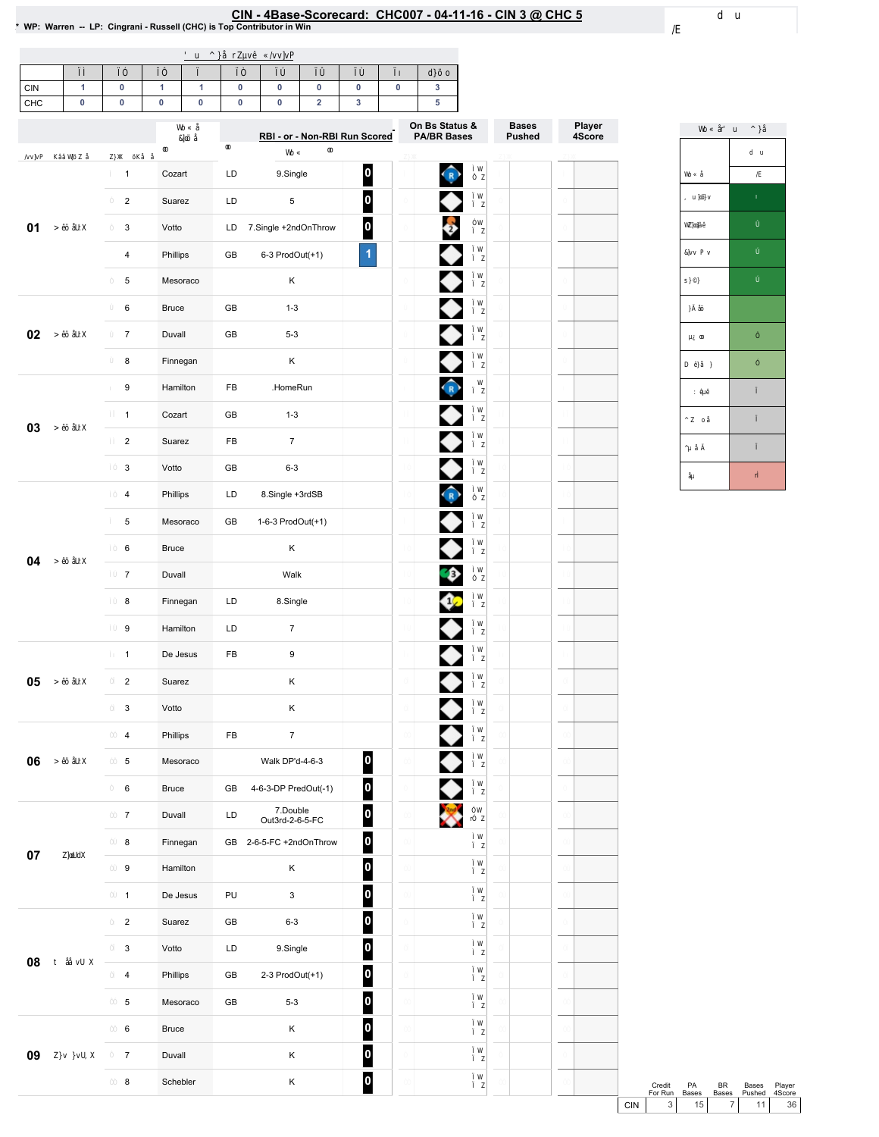## EIN - 4Base-Scorecard: CHC007 - 04-11-16 - CIN 3 @ CHC 5<br>\* WP: Warren -- LP: Cingrani - Russell (CHC) is Top Contributor in Win

Bases Pushed

Player 4Score

| <b>CIN</b>                                                            |  |  |  |  |  |  |  |  |  |  |  |
|-----------------------------------------------------------------------|--|--|--|--|--|--|--|--|--|--|--|
| CHC                                                                   |  |  |  |  |  |  |  |  |  |  |  |
| On Bs Status &<br><b>PA/BR Bases</b><br>RBI - or - Non-RBI Run Scored |  |  |  |  |  |  |  |  |  |  |  |

|                                            | $\mathbf{1}$     | Cozart       | 0<br>$\bigcirc$<br>LD<br>9.Single                  |  |
|--------------------------------------------|------------------|--------------|----------------------------------------------------|--|
|                                            | $\boldsymbol{2}$ | Suarez       | 0<br>◆<br>LD<br>5                                  |  |
|                                            | 3                | Votto        | 0<br>7.Single +2ndOnThrow<br>LD                    |  |
|                                            | $\pmb{4}$        | Phillips     | $\blacktriangleleft$<br>GB<br>6-3 ProdOut(+1)      |  |
| 01<br>02<br>03<br>04<br>05<br>06<br>$07\,$ | 5                | Mesoraco     | κ                                                  |  |
|                                            | 6                | <b>Bruce</b> | GB<br>$1 - 3$                                      |  |
|                                            | $\overline{7}$   | Duvall       | GB<br>$5 - 3$                                      |  |
|                                            | 8                | Finnegan     | Κ                                                  |  |
|                                            | 9                | Hamilton     | FB<br>.HomeRun                                     |  |
|                                            | $\mathbf{1}$     | Cozart       | ◆<br>GB<br>$1 - 3$                                 |  |
|                                            | $\boldsymbol{2}$ | Suarez       | FB<br>$\overline{7}$                               |  |
|                                            | 3                | Votto        | GB<br>$6 - 3$                                      |  |
|                                            | $\pmb{4}$        | Phillips     | くりのくり ゆうりつりつ<br>LD<br>8.Single +3rdSB              |  |
|                                            | 5                | Mesoraco     | GB<br>1-6-3 ProdOut(+1)                            |  |
|                                            | 6                | <b>Bruce</b> | Κ                                                  |  |
|                                            | $\overline{7}$   | Duvall       | Walk                                               |  |
|                                            | 8                | Finnegan     | LD<br>8.Single                                     |  |
|                                            | 9                | Hamilton     | LD<br>$\overline{7}$                               |  |
|                                            | $\mathbf{1}$     | De Jesus     | FB<br>9                                            |  |
|                                            | $\overline{2}$   | Suarez       | Κ                                                  |  |
|                                            | 3                | Votto        | Κ                                                  |  |
|                                            | $\pmb{4}$        | Phillips     | $\overline{7}$<br>FB                               |  |
|                                            | 5                | Mesoraco     | $\blacklozenge$<br>0<br>Walk DP'd-4-6-3            |  |
|                                            | 6                | Bruce        | $\overline{\mathbf{0}}$<br>GB 4-6-3-DP PredOut(-1) |  |
|                                            | $\overline{7}$   | Duvall       | $\overline{\phantom{a}}$<br>M<br>7.Double<br>LD    |  |
|                                            |                  |              | $\overline{\mathbf{0}}$<br>Out3rd-2-6-5-FC         |  |
|                                            | 8                | Finnegan     | 0<br>GB 2-6-5-FC +2ndOnThrow                       |  |
|                                            | 9                | Hamilton     | $\overline{\mathbf{0}}$<br>Κ                       |  |
|                                            | $\mathbf{1}$     | De Jesus     | 0<br>PU<br>3                                       |  |
|                                            | $\overline{2}$   | Suarez       | $\overline{\mathbf{0}}$<br>GB<br>$6 - 3$           |  |
| 08                                         | 3                | Votto        | $\vert$ 0 $\vert$<br>LD<br>9.Single                |  |
|                                            | 4                | Phillips     | $\vert 0 \vert$<br>GB<br>2-3 ProdOut(+1)           |  |
|                                            | $\,$ 5 $\,$      | Mesoraco     | $\vert$ 0<br>GB<br>$5 - 3$                         |  |
| 09                                         | 6                | <b>Bruce</b> | $\overline{\mathbf{0}}$<br>Κ                       |  |
|                                            | $\overline{7}$   | Duvall       | $\vert$ 0<br>Κ                                     |  |
|                                            | 8                | Schebler     | $\vert$ 0<br>Κ                                     |  |



Credit PA BR Bases Player<br>ForRun Bases Bases Pushed 4Score<br>CIN 3 15 7 11 36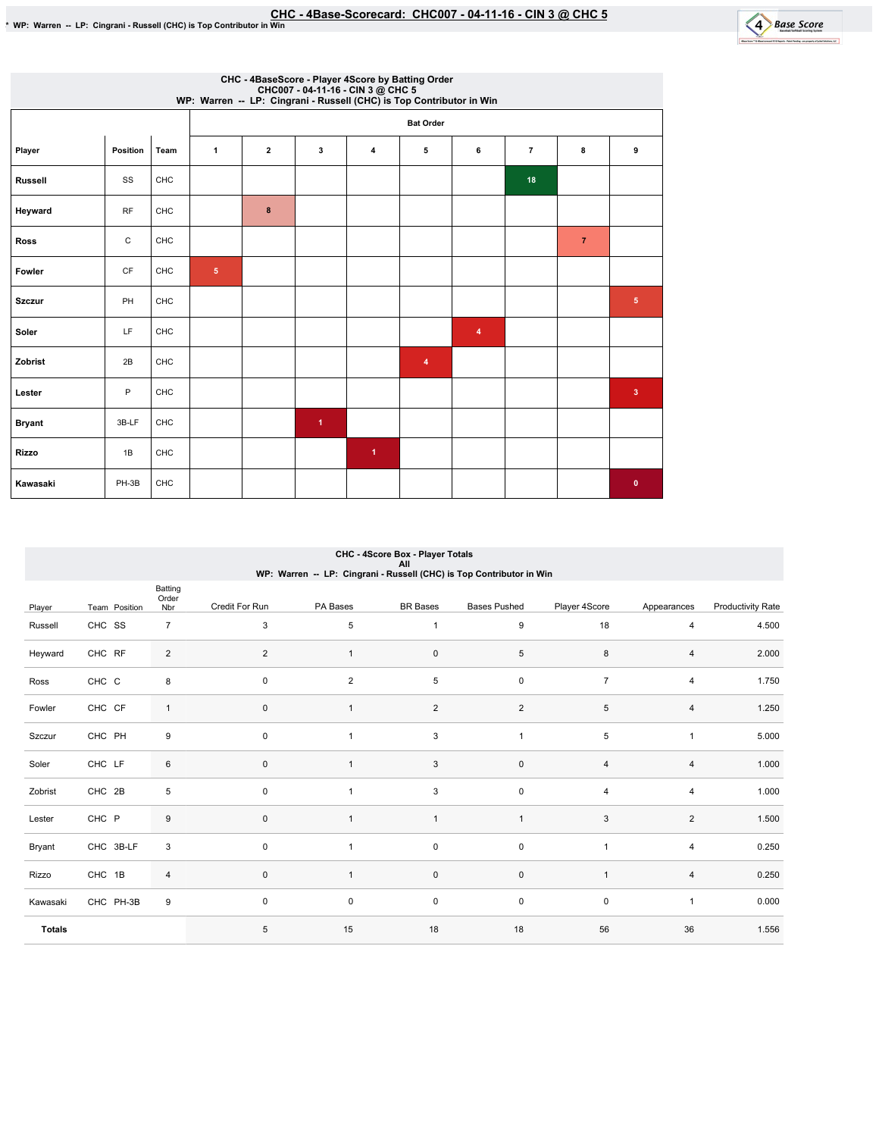

|                | CHC - 4BaseScore - Player 4Score by Batting Order<br>CHC007 - 04-11-16 - CIN 3 @ CHC 5<br>WP: Warren -- LP: Cingrani - Russell (CHC) is Top Contributor in Win |      |              |                |                      |                      |                  |                |                |                |                         |
|----------------|----------------------------------------------------------------------------------------------------------------------------------------------------------------|------|--------------|----------------|----------------------|----------------------|------------------|----------------|----------------|----------------|-------------------------|
|                |                                                                                                                                                                |      |              |                |                      |                      | <b>Bat Order</b> |                |                |                |                         |
| Player         | Position                                                                                                                                                       | Team | $\mathbf{1}$ | $\overline{2}$ | 3                    | $\overline{\bf{4}}$  | 5                | 6              | $\overline{7}$ | 8              | 9                       |
| <b>Russell</b> | SS                                                                                                                                                             | CHC  |              |                |                      |                      |                  |                | 18             |                |                         |
| Heyward        | <b>RF</b>                                                                                                                                                      | CHC  |              | 8              |                      |                      |                  |                |                |                |                         |
| <b>Ross</b>    | C                                                                                                                                                              | CHC  |              |                |                      |                      |                  |                |                | $\overline{7}$ |                         |
| Fowler         | CF                                                                                                                                                             | CHC  | $\sqrt{5}$   |                |                      |                      |                  |                |                |                |                         |
| <b>Szczur</b>  | PH                                                                                                                                                             | CHC  |              |                |                      |                      |                  |                |                |                | $\overline{\mathbf{5}}$ |
| Soler          | LF                                                                                                                                                             | CHC  |              |                |                      |                      |                  | $\overline{4}$ |                |                |                         |
| Zobrist        | 2B                                                                                                                                                             | CHC  |              |                |                      |                      | $\overline{4}$   |                |                |                |                         |
| Lester         | P                                                                                                                                                              | CHC  |              |                |                      |                      |                  |                |                |                | $\overline{\mathbf{3}}$ |
| <b>Bryant</b>  | 3B-LF                                                                                                                                                          | CHC  |              |                | $\blacktriangleleft$ |                      |                  |                |                |                |                         |
| <b>Rizzo</b>   | 1B                                                                                                                                                             | CHC  |              |                |                      | $\blacktriangleleft$ |                  |                |                |                |                         |
| Kawasaki       | PH-3B                                                                                                                                                          | CHC  |              |                |                      |                      |                  |                |                |                | $\bullet$               |

### CHC - 4Score Box - Player Totals All<br>WP: Warren -- LP: Cingrani - Russell (CHC) is Top Contributor in Win

|               |               | Batting<br>Order |                |                |                           |                     |                |                |                          |
|---------------|---------------|------------------|----------------|----------------|---------------------------|---------------------|----------------|----------------|--------------------------|
| Player        | Team Position | Nbr              | Credit For Run | PA Bases       | <b>BR</b> Bases           | <b>Bases Pushed</b> | Player 4Score  | Appearances    | <b>Productivity Rate</b> |
| Russell       | CHC SS        | $\overline{7}$   | $\mathbf{3}$   | $\,$ 5 $\,$    | $\mathbf{1}$              | $\boldsymbol{9}$    | 18             | 4              | 4.500                    |
| Heyward       | CHC RF        | $\overline{2}$   | 2              | 1              | $\mathsf{O}\xspace$       | $\,$ 5 $\,$         | 8              | 4              | 2.000                    |
| Ross          | CHC C         | 8                | $\pmb{0}$      | $\overline{c}$ | $\sqrt{5}$                | $\mathsf 0$         | $\overline{7}$ | 4              | 1.750                    |
| Fowler        | CHC CF        | $\mathbf{1}$     | $\mathbf 0$    |                | $\overline{2}$            | $\overline{2}$      | 5              | 4              | 1.250                    |
| Szczur        | CHC PH        | $\boldsymbol{9}$ | $\mathbf 0$    |                | $\mathsf 3$               | $\overline{1}$      | 5              | $\mathbf{1}$   | 5.000                    |
| Soler         | CHC LF        | 6                | $\mathbf{0}$   |                | $\ensuremath{\mathsf{3}}$ | $\mathsf{O}\xspace$ | $\overline{4}$ | $\overline{4}$ | 1.000                    |
| Zobrist       | CHC 2B        | 5                | $\mathbf 0$    |                | $\mathsf 3$               | $\mathsf 0$         | $\overline{4}$ | 4              | 1.000                    |
| Lester        | CHC P         | 9                | $\pmb{0}$      |                | $\mathbf{1}$              | $\overline{1}$      | 3              | $\overline{c}$ | 1.500                    |
| Bryant        | CHC 3B-LF     | 3                | $\mathbf 0$    | 1              | $\mathsf{O}\xspace$       | $\mathsf 0$         | $\overline{1}$ | 4              | 0.250                    |
| Rizzo         | CHC 1B        | $\overline{4}$   | $\mathbf 0$    |                | $\mathsf{O}\xspace$       | $\mathsf 0$         | $\overline{1}$ | 4              | 0.250                    |
| Kawasaki      | CHC PH-3B     | 9                | $\mathbf 0$    | $\mathsf 0$    | $\mathsf{O}\xspace$       | $\mathsf 0$         | $\mathsf 0$    | $\mathbf{1}$   | 0.000                    |
| <b>Totals</b> |               |                  | 5              | 15             | 18                        | 18                  | 56             | 36             | 1.556                    |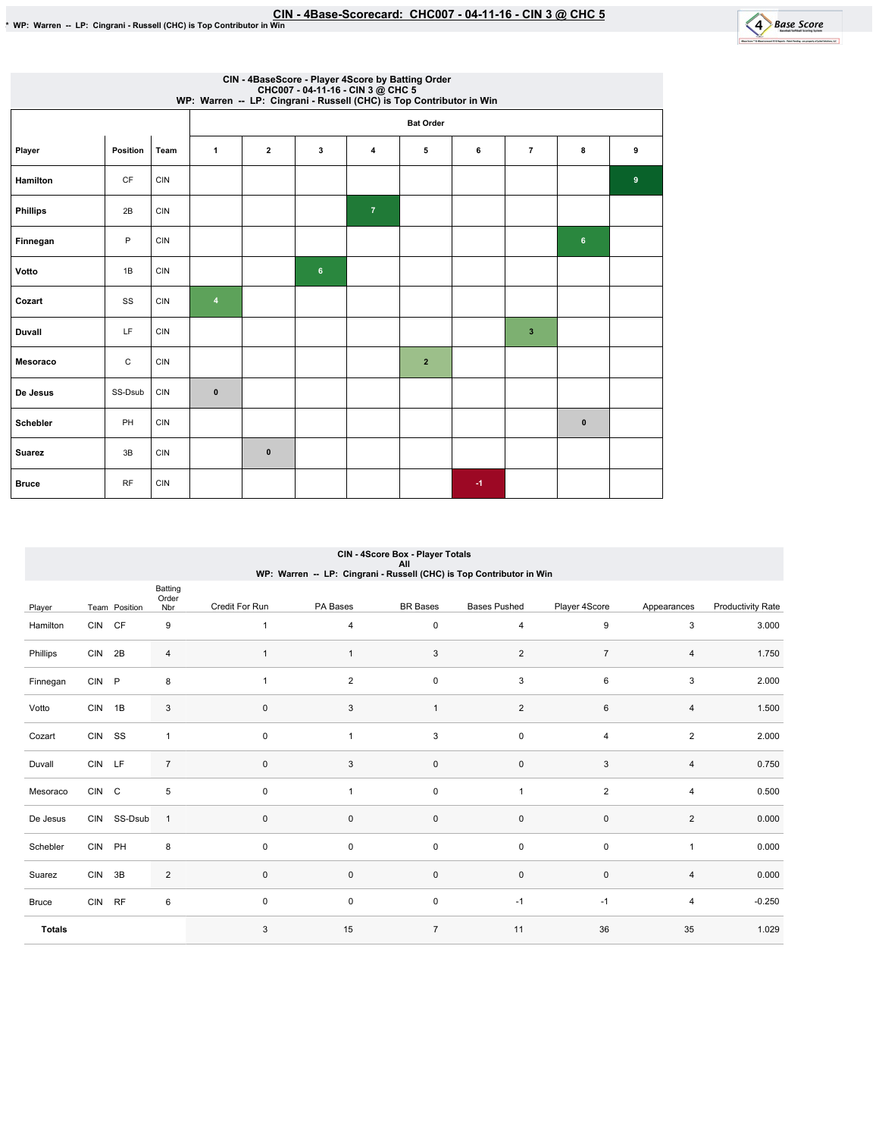

|                 | CIN - 4BaseScore - Player 4Score by Batting Order<br>CHC007 - 04-11-16 - CIN 3 @ CHC 5<br>WP: Warren -- LP: Cingrani - Russell (CHC) is Top Contributor in Win |            |                         |              |   |                |                  |      |                         |              |   |
|-----------------|----------------------------------------------------------------------------------------------------------------------------------------------------------------|------------|-------------------------|--------------|---|----------------|------------------|------|-------------------------|--------------|---|
|                 |                                                                                                                                                                |            |                         |              |   |                | <b>Bat Order</b> |      |                         |              |   |
| Player          | Position                                                                                                                                                       | Team       | $\mathbf{1}$            | $\mathbf{2}$ | 3 | $\overline{4}$ | 5                | 6    | $\overline{7}$          | 8            | 9 |
| Hamilton        | CF                                                                                                                                                             | <b>CIN</b> |                         |              |   |                |                  |      |                         |              | 9 |
| <b>Phillips</b> | 2B                                                                                                                                                             | <b>CIN</b> |                         |              |   | $\overline{7}$ |                  |      |                         |              |   |
| Finnegan        | P                                                                                                                                                              | <b>CIN</b> |                         |              |   |                |                  |      |                         | 6            |   |
| Votto           | 1B                                                                                                                                                             | <b>CIN</b> |                         |              | 6 |                |                  |      |                         |              |   |
| Cozart          | SS                                                                                                                                                             | <b>CIN</b> | $\overline{\mathbf{4}}$ |              |   |                |                  |      |                         |              |   |
| <b>Duvall</b>   | LF                                                                                                                                                             | <b>CIN</b> |                         |              |   |                |                  |      | $\overline{\mathbf{3}}$ |              |   |
| Mesoraco        | C                                                                                                                                                              | <b>CIN</b> |                         |              |   |                | $\overline{2}$   |      |                         |              |   |
| De Jesus        | SS-Dsub                                                                                                                                                        | <b>CIN</b> | $\mathbf{0}$            |              |   |                |                  |      |                         |              |   |
| Schebler        | PH                                                                                                                                                             | <b>CIN</b> |                         |              |   |                |                  |      |                         | $\mathbf{0}$ |   |
| <b>Suarez</b>   | 3B                                                                                                                                                             | <b>CIN</b> |                         | $\mathbf{0}$ |   |                |                  |      |                         |              |   |
| <b>Bruce</b>    | <b>RF</b>                                                                                                                                                      | <b>CIN</b> |                         |              |   |                |                  | $-1$ |                         |              |   |

### CIN - 4Score Box - Player Totals All<br>WP: Warren -- LP: Cingrani - Russell (CHC) is Top Contributor in Win

|               |            |               | Batting<br>Order |                |                |                     |                     |                |                |                          |
|---------------|------------|---------------|------------------|----------------|----------------|---------------------|---------------------|----------------|----------------|--------------------------|
| Player        |            | Team Position | Nbr              | Credit For Run | PA Bases       | <b>BR</b> Bases     | <b>Bases Pushed</b> | Player 4Score  | Appearances    | <b>Productivity Rate</b> |
| Hamilton      | CIN CF     |               | 9                | $\mathbf{1}$   | $\overline{4}$ | $\mathsf{O}\xspace$ | $\overline{4}$      | 9              | 3              | 3.000                    |
| Phillips      | CIN 2B     |               | $\overline{4}$   | $\mathbf{1}$   | $\mathbf{1}$   | 3                   | 2                   | $\overline{7}$ | 4              | 1.750                    |
| Finnegan      | <b>CIN</b> | P             | $\bf8$           | 1              | $\overline{c}$ | $\mathsf{O}\xspace$ | $\mathsf 3$         | 6              | 3              | 2.000                    |
| Votto         | CIN 1B     |               | 3                | $\mathbf 0$    | 3              | $\mathbf{1}$        | $\overline{2}$      | 6              | 4              | 1.500                    |
| Cozart        | CIN SS     |               | $\mathbf{1}$     | $\pmb{0}$      | $\mathbf{1}$   | $\mathbf{3}$        | $\mathsf 0$         | $\overline{4}$ | $\overline{2}$ | 2.000                    |
| Duvall        | CIN LF     |               | $\overline{7}$   | $\mathbf 0$    | 3              | $\mathsf{O}\xspace$ | $\mathsf 0$         | $\sqrt{3}$     | 4              | 0.750                    |
| Mesoraco      | CIN C      |               | $\,$ 5 $\,$      | $\mathbf 0$    |                | $\mathsf{O}\xspace$ | $\overline{1}$      | $\overline{2}$ | 4              | 0.500                    |
| De Jesus      |            | CIN SS-Dsub   | $\mathbf{1}$     | $\mathbf{0}$   | $\mathsf 0$    | $\mathsf{O}\xspace$ | $\mathsf 0$         | $\mathsf 0$    | $\overline{2}$ | 0.000                    |
| Schebler      | CIN PH     |               | 8                | $\mathbf 0$    | 0              | $\mathsf 0$         | $\mathsf 0$         | $\mathbf 0$    | 1              | 0.000                    |
| Suarez        | CIN 3B     |               | $\overline{2}$   | $\mathbf{0}$   | $\mathsf 0$    | $\mathsf 0$         | $\mathsf 0$         | $\mathsf 0$    | $\overline{4}$ | 0.000                    |
| Bruce         | CIN RF     |               | 6                | $\mathbf 0$    | 0              | $\mathsf{O}\xspace$ | $-1$                | $-1$           | 4              | $-0.250$                 |
| <b>Totals</b> |            |               |                  | 3              | 15             | $\overline{7}$      | 11                  | 36             | 35             | 1.029                    |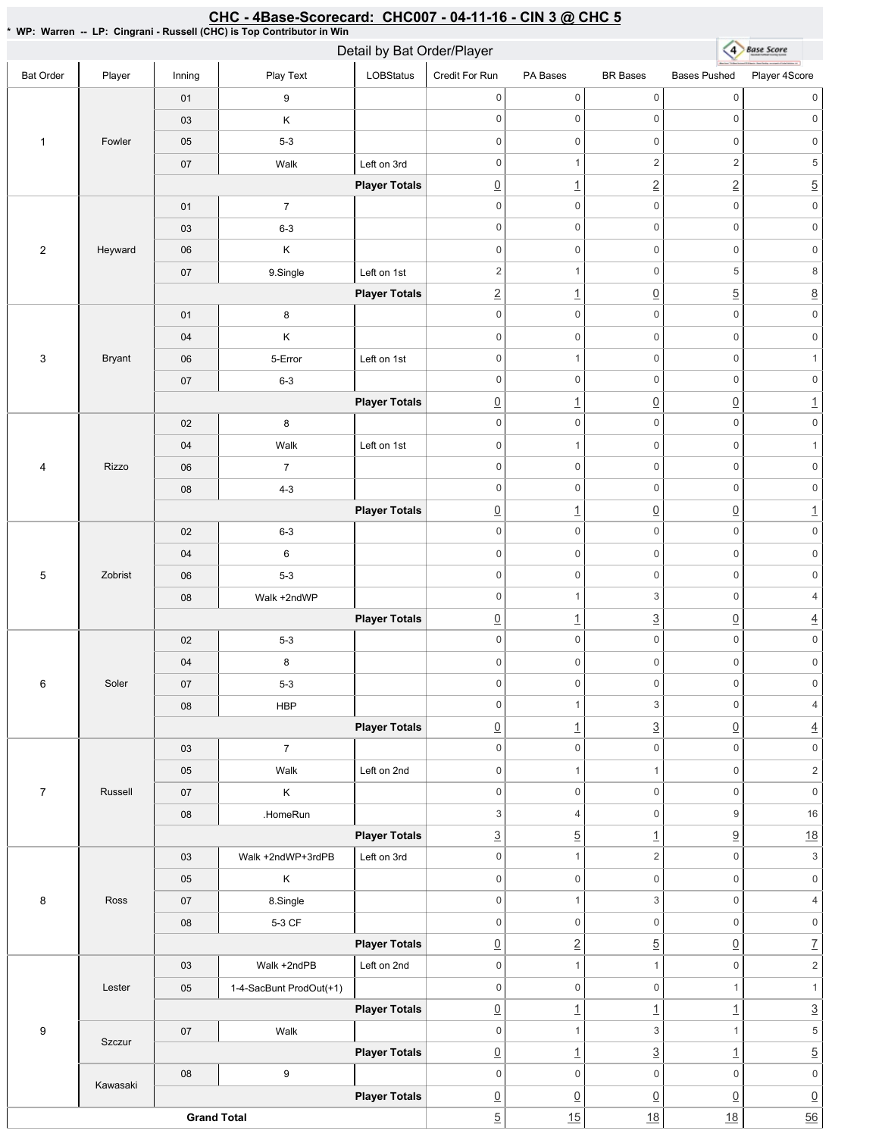| CHC - 4Base-Scorecard: CHC007 - 04-11-16 - CIN 3 @ CHC 5<br>* WP: Warren -- LP: Cingrani - Russell (CHC) is Top Contributor in Win |               |        |                         |                            |                                   |                                       |                                     |                                                 |                                       |  |
|------------------------------------------------------------------------------------------------------------------------------------|---------------|--------|-------------------------|----------------------------|-----------------------------------|---------------------------------------|-------------------------------------|-------------------------------------------------|---------------------------------------|--|
|                                                                                                                                    |               |        |                         | Detail by Bat Order/Player |                                   |                                       |                                     | $\left( 4\right)$                               | <b>Base Score</b>                     |  |
| <b>Bat Order</b>                                                                                                                   | Player        | Inning | Play Text               | <b>LOBStatus</b>           | Credit For Run                    | PA Bases                              | <b>BR</b> Bases                     | <b>Bases Pushed</b>                             | Player 4Score                         |  |
|                                                                                                                                    |               | 01     | 9                       |                            | $\mathsf 0$                       | $\mathsf{O}\xspace$                   | $\mathsf 0$                         | $\mathsf{O}\xspace$                             | $\mathbf 0$                           |  |
|                                                                                                                                    |               | 03     | Κ                       |                            | $\mathbf 0$                       | $\mathbf 0$                           | $\mathsf 0$                         | $\mathsf{O}\xspace$                             | $\mathbf 0$                           |  |
| $\mathbf{1}$                                                                                                                       | Fowler        | 05     | $5-3$                   |                            | $\boldsymbol{0}$                  | $\mathbf 0$                           | $\mathsf 0$                         | 0                                               | $\mathbf 0$                           |  |
|                                                                                                                                    |               | 07     | Walk                    | Left on 3rd                | $\mathsf 0$                       | 1                                     | $\overline{c}$                      | $\overline{2}$                                  | $\,$ 5 $\,$                           |  |
|                                                                                                                                    |               |        |                         | <b>Player Totals</b>       | $\underline{0}$                   | $\overline{1}$                        | $\overline{2}$                      | $\underline{2}$                                 | $\overline{5}$                        |  |
|                                                                                                                                    |               | 01     | $\overline{7}$          |                            | $\mathbf 0$                       | $\mathsf{O}\xspace$                   | $\mathbf 0$                         | $\mathsf 0$                                     | $\mathsf{O}\xspace$                   |  |
|                                                                                                                                    |               | 03     | $6 - 3$                 |                            | $\mathbf 0$                       | $\mathbf 0$                           | $\mathsf 0$                         | $\mathsf{O}\xspace$                             | $\mathsf{O}\xspace$                   |  |
| $\overline{2}$                                                                                                                     | Heyward       | 06     | Κ                       |                            | $\mathbf 0$                       | $\mathbf 0$                           | $\mathsf 0$                         | $\mathsf{O}\xspace$                             | $\mathbf 0$                           |  |
|                                                                                                                                    |               | 07     | 9.Single                | Left on 1st                | $\overline{2}$                    | $\mathbf{1}$                          | $\mathsf 0$                         | 5                                               | $\,8\,$                               |  |
|                                                                                                                                    |               |        |                         | <b>Player Totals</b>       | $\ensuremath{\mathsf{2}}$         | $\overline{1}$                        | $\overline{0}$                      | $\underline{5}$                                 | $\underline{8}$                       |  |
|                                                                                                                                    |               | 01     | 8                       |                            | $\mathsf 0$                       | $\mathbf 0$                           | $\mathbf 0$                         | $\mathbf 0$                                     | $\mathsf{O}\xspace$                   |  |
|                                                                                                                                    |               | 04     | Κ                       |                            | $\mathbf 0$                       | $\mathbf 0$                           | $\mathsf 0$                         | $\mathbf 0$                                     | $\mathsf{O}\xspace$                   |  |
| $\mathbf{3}$                                                                                                                       | <b>Bryant</b> | 06     | 5-Error                 | Left on 1st                | $\mathbf 0$                       | $\mathbf{1}$                          | $\mathsf 0$                         | $\mathsf{O}\xspace$                             | $\mathbf{1}$                          |  |
|                                                                                                                                    |               | 07     | $6 - 3$                 |                            | $\mathbf 0$                       | $\mathbf 0$                           | $\mathsf 0$                         | $\mathsf{O}\xspace$                             | $\mathsf{O}\xspace$                   |  |
|                                                                                                                                    |               |        |                         | <b>Player Totals</b>       | $\underline{0}$                   | $\overline{1}$                        | $\overline{0}$                      | $\underline{0}$                                 | $\overline{1}$                        |  |
|                                                                                                                                    |               | 02     | 8                       |                            | $\mathsf 0$                       | $\mathsf{O}\xspace$                   | $\mathsf 0$                         | $\mathbf 0$                                     | $\mathbb O$                           |  |
|                                                                                                                                    |               | 04     | Walk                    | Left on 1st                | $\mathbf 0$                       | $\mathbf{1}$                          | $\mathsf{O}\xspace$                 | $\mathsf 0$                                     | $\mathbf{1}$                          |  |
| $\overline{4}$                                                                                                                     | Rizzo         | 06     | $\overline{7}$          |                            | $\mathbf 0$                       | $\mathsf 0$                           | $\mathsf{O}\xspace$                 | $\mathsf{O}\xspace$                             | $\mathsf 0$                           |  |
|                                                                                                                                    |               | 08     | $4 - 3$                 |                            | $\mathbf 0$                       | $\mathsf 0$                           | $\mathbf 0$                         | $\mathsf{O}\xspace$                             | $\mathsf 0$                           |  |
|                                                                                                                                    |               |        |                         | <b>Player Totals</b>       | $\underline{0}$                   | $\overline{1}$                        | $\overline{0}$                      | $\underline{0}$                                 | $\overline{1}$                        |  |
|                                                                                                                                    |               | 02     | $6 - 3$                 |                            | $\mathbf 0$                       | $\mathsf 0$                           | $\mathbf 0$                         | $\mathsf 0$                                     | $\mathsf 0$                           |  |
|                                                                                                                                    |               | 04     | 6                       |                            | $\mathsf 0$                       | $\mathsf 0$                           | $\mathsf{O}\xspace$                 | $\mathsf{O}\xspace$                             | $\mathsf{O}\xspace$                   |  |
| $5\,$                                                                                                                              | Zobrist       | 06     | $5-3$                   |                            | $\mathbf 0$                       | $\mathbf 0$                           | $\mathsf{O}\xspace$                 | $\mathsf{O}\xspace$                             | $\mathsf 0$                           |  |
|                                                                                                                                    |               | 08     | Walk +2ndWP             |                            | $\mathsf 0$                       | $\mathbf{1}$                          | 3                                   | 0                                               | $\overline{4}$                        |  |
|                                                                                                                                    |               |        |                         | <b>Player Totals</b>       | $\underline{0}$                   | $\overline{1}$                        | $\overline{3}$                      | $\underline{0}$                                 | $\overline{4}$                        |  |
|                                                                                                                                    |               | 02     | $5-3$                   |                            | $\mathsf{O}\xspace$               | $\mathsf{O}\xspace$                   | $\mathsf 0$                         | $\mathsf{O}\xspace$                             | $\mathsf{O}\xspace$                   |  |
|                                                                                                                                    |               | 04     | 8                       |                            | $\mathsf 0$                       | $\mathsf{O}\xspace$                   | $\mathsf 0$                         | $\mathsf{O}\xspace$                             | $\mathsf{O}\xspace$                   |  |
| 6                                                                                                                                  | Soler         | 07     | $5-3$                   |                            | $\mathbf 0$                       | $\mathsf{O}\xspace$                   | $\mathsf 0$                         | $\mathsf{O}$                                    | $\mathsf{O}\xspace$                   |  |
|                                                                                                                                    |               | 08     | <b>HBP</b>              |                            | $\mathbf 0$                       | $\mathbf{1}$                          | 3                                   | $\mathsf{O}$                                    | $\overline{4}$                        |  |
|                                                                                                                                    |               |        |                         | <b>Player Totals</b>       | $\underline{0}$                   | $\overline{1}$                        | $\overline{3}$                      | $\underline{0}$                                 | $\overline{4}$                        |  |
|                                                                                                                                    |               | 03     | $\overline{7}$          |                            | $\mathbf 0$                       | $\mathsf{O}\xspace$                   | $\mathsf 0$                         | $\mathbf 0$                                     | $\mathsf{O}\xspace$                   |  |
|                                                                                                                                    |               | 05     | Walk                    | Left on 2nd                | $\mathbf 0$                       | $\mathbf{1}$                          | $\mathbf{1}$                        | $\mathsf 0$                                     | $\sqrt{2}$                            |  |
| $\overline{7}$                                                                                                                     | Russell       | 07     | Κ                       |                            | $\mathbf 0$                       | $\mathsf{O}\xspace$                   | $\mathbf 0$                         | $\mathsf{O}\xspace$                             | $\mathsf{O}\xspace$                   |  |
|                                                                                                                                    |               | 08     | .HomeRun                |                            | 3                                 | $\overline{4}$                        | $\mathbf 0$                         | 9                                               | $16\,$                                |  |
|                                                                                                                                    |               |        |                         | <b>Player Totals</b>       | $\underline{3}$                   | $\overline{5}$                        | $\overline{1}$                      | $\underline{9}$                                 | 18                                    |  |
|                                                                                                                                    |               | 03     | Walk +2ndWP+3rdPB       | Left on 3rd                | $\mathbf 0$                       | $\mathbf{1}$                          | $\overline{2}$                      | $\mathsf{O}$                                    | $\ensuremath{\mathsf{3}}$             |  |
|                                                                                                                                    |               | 05     | Κ                       |                            | $\mathbf 0$                       | $\mathsf{O}\xspace$                   | $\mathbf 0$                         | $\mathbf 0$                                     | $\mathsf{O}\xspace$                   |  |
| 8                                                                                                                                  | Ross          | 07     | 8.Single                |                            | $\mathsf 0$                       | $\mathbf{1}$                          | 3                                   | $\mathsf{O}\xspace$                             | $\overline{4}$                        |  |
|                                                                                                                                    |               | 08     | 5-3 CF                  |                            | $\mathsf 0$                       | $\mathsf{O}\xspace$                   | $\mathsf 0$                         | $\mathsf{O}\xspace$                             | $\mathsf{O}\xspace$                   |  |
|                                                                                                                                    |               |        |                         | <b>Player Totals</b>       | $\underline{0}$                   | $\overline{2}$                        | $\overline{5}$                      | $\underline{0}$                                 | $\underline{7}$                       |  |
|                                                                                                                                    |               | 03     | Walk +2ndPB             | Left on 2nd                | $\mathbf 0$<br>$\mathbf 0$        | $\mathbf{1}$<br>$\mathsf{O}\xspace$   | $\mathbf{1}$<br>$\mathsf{O}\xspace$ | $\mathbf 0$<br>$\mathbf{1}$                     | $\sqrt{2}$<br>$\mathbf{1}$            |  |
|                                                                                                                                    | Lester        | 05     | 1-4-SacBunt ProdOut(+1) |                            |                                   |                                       |                                     |                                                 |                                       |  |
| 9                                                                                                                                  |               | 07     | Walk                    | <b>Player Totals</b>       | $\underline{0}$<br>$\mathbf 0$    | $\overline{1}$<br>$\mathbf{1}$        | $\overline{1}$<br>$\,$ 3 $\,$       | $\overline{1}$<br>$\mathbf{1}$                  | $\underline{3}$<br>$\sqrt{5}$         |  |
|                                                                                                                                    | Szczur        |        |                         | <b>Player Totals</b>       |                                   |                                       |                                     |                                                 |                                       |  |
|                                                                                                                                    |               | 08     | 9                       |                            | $\underline{0}$<br>$\mathbf 0$    | $\overline{1}$<br>$\mathsf{O}\xspace$ | $\overline{3}$<br>$\mathsf 0$       | $\underline{\mathbf{1}}$<br>$\mathsf{O}\xspace$ | $\overline{5}$<br>$\mathsf{O}\xspace$ |  |
|                                                                                                                                    | Kawasaki      |        |                         | <b>Player Totals</b>       |                                   | $\underline{0}$                       | $\underline{0}$                     | $\underline{0}$                                 |                                       |  |
|                                                                                                                                    |               |        | <b>Grand Total</b>      |                            | $\underline{0}$<br>$\overline{5}$ | 15                                    | 18                                  | 18                                              | $\underline{0}$<br>56                 |  |
|                                                                                                                                    |               |        |                         |                            |                                   |                                       |                                     |                                                 |                                       |  |